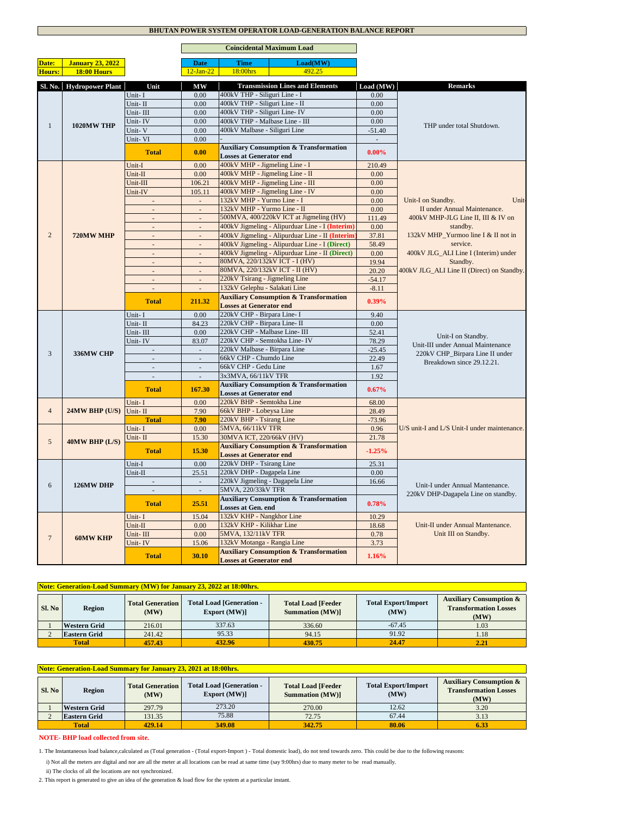### **BHUTAN POWER SYSTEM OPERATOR LOAD-GENERATION BALANCE REPORT**

'n

|                |                          |                             |                          | <b>Coincidental Maximum Load</b>                                  |              |                                                              |  |
|----------------|--------------------------|-----------------------------|--------------------------|-------------------------------------------------------------------|--------------|--------------------------------------------------------------|--|
| Date:          | <b>January 23, 2022</b>  |                             | <b>Date</b>              | <b>Time</b><br>Load(MW)                                           |              |                                                              |  |
| Hours:         | 18:00 Hours              |                             | $12-Ian-22$              | 492.25<br>18:00hrs                                                |              |                                                              |  |
|                |                          |                             |                          |                                                                   |              |                                                              |  |
|                | Sl. No. Hydropower Plant | Unit                        | МW                       | <b>Transmission Lines and Elements</b>                            | Load (MW)    | <b>Remarks</b>                                               |  |
| $\mathbf{1}$   | 1020MW THP               | Unit-I                      | 0.00                     | 400kV THP - Siliguri Line - I                                     | 0.00         |                                                              |  |
|                |                          | Unit-II                     | 0.00                     | 400kV THP - Siliguri Line - II                                    | 0.00         |                                                              |  |
|                |                          | Unit-III                    | 0.00                     | 400kV THP - Siliguri Line- IV                                     | 0.00         |                                                              |  |
|                |                          | Unit-IV                     | 0.00                     | 400kV THP - Malbase Line - III                                    | 0.00         | THP under total Shutdown.                                    |  |
|                |                          | Unit-V                      | 0.00                     | 400kV Malbase - Siliguri Line                                     | $-51.40$     |                                                              |  |
|                |                          | Unit-VI                     | 0.00                     |                                                                   | $\sim$       |                                                              |  |
|                |                          | <b>Total</b>                | 0.00                     | <b>Auxiliary Consumption &amp; Transformation</b>                 | $0.00\%$     |                                                              |  |
|                |                          |                             |                          | <b>Losses at Generator end</b>                                    |              |                                                              |  |
|                |                          | Unit-I                      | 0.00                     | 400kV MHP - Jigmeling Line - I<br>400kV MHP - Jigmeling Line - II | 210.49       |                                                              |  |
|                |                          | Unit-II                     | 0.00                     | 400kV MHP - Jigmeling Line - III                                  | 0.00         |                                                              |  |
|                |                          | Unit-III                    | 106.21                   | 400kV MHP - Jigmeling Line - IV                                   | 0.00         |                                                              |  |
|                |                          | Unit-IV                     | 105.11                   | 132kV MHP - Yurmo Line - I                                        | 0.00<br>0.00 | Unit-                                                        |  |
|                |                          |                             |                          | 132kV MHP - Yurmo Line - II                                       | 0.00         | Unit-I on Standby.<br>II under Annual Maintenance.           |  |
|                |                          | $\sim$                      | ÷,                       | 500MVA, 400/220kV ICT at Jigmeling (HV)                           | 111.49       | 400kV MHP-JLG Line II, III & IV on                           |  |
|                |                          | ÷.                          | $\overline{a}$           | 400kV Jigmeling - Alipurduar Line - I (Interim)                   | 0.00         | standby.                                                     |  |
| 2              | 720MW MHP                | ÷.                          | $\Box$                   | 400kV Jigmeling - Alipurduar Line - II (Interim                   | 37.81        | 132kV MHP_Yurmoo line I & II not in                          |  |
|                |                          | $\mathcal{L}$               | $\overline{a}$           | 400kV Jigmeling - Alipurduar Line - I (Direct)                    | 58.49        | service.                                                     |  |
|                |                          | $\sim$                      | $\overline{\phantom{a}}$ | 400kV Jigmeling - Alipurduar Line - II (Direct)                   | 0.00         | 400kV JLG_ALI Line I (Interim) under                         |  |
|                |                          | $\mathcal{L}^{\mathcal{A}}$ | $\mathbb{Z}^+$           | 80MVA, 220/132kV ICT - I (HV)                                     | 19.94        | Standby.                                                     |  |
|                |                          | $\omega$                    | $\omega$                 | 80MVA, 220/132kV ICT - II (HV)                                    | 20.20        | 400kV JLG_ALI Line II (Direct) on Standby.                   |  |
|                |                          | $\overline{a}$              | ÷.                       | 220kV Tsirang - Jigmeling Line                                    | $-54.17$     |                                                              |  |
|                |                          | $\blacksquare$              | $\sim$                   | 132kV Gelephu - Salakati Line                                     | $-8.11$      |                                                              |  |
|                |                          |                             |                          | <b>Auxiliary Consumption &amp; Transformation</b>                 |              |                                                              |  |
|                |                          | <b>Total</b>                | 211.32                   | <b>Losses at Generator end</b>                                    | 0.39%        |                                                              |  |
|                |                          | Unit-I                      | 0.00                     | 220kV CHP - Birpara Line- I                                       | 9.40         |                                                              |  |
|                | 336MW CHP                | Unit-II                     | 84.23                    | 220kV CHP - Birpara Line- II                                      | 0.00         |                                                              |  |
|                |                          | Unit-III                    | 0.00                     | 220kV CHP - Malbase Line- III                                     | 52.41        |                                                              |  |
|                |                          | Unit-IV                     | 83.07                    | 220kV CHP - Semtokha Line- IV                                     | 78.29        | Unit-I on Standby.                                           |  |
| 3              |                          |                             |                          | 220kV Malbase - Birpara Line                                      | $-25.45$     | Unit-III under Annual Maintenance                            |  |
|                |                          | $\mathbb{Z}$                | $\sim$                   | 66kV CHP - Chumdo Line                                            | 22.49        | 220kV CHP_Birpara Line II under<br>Breakdown since 29.12.21. |  |
|                |                          | ÷.                          | L.                       | 66kV CHP - Gedu Line                                              | 1.67         |                                                              |  |
|                |                          | $\mathcal{L}$               | $\sim$                   | 3x3MVA, 66/11kV TFR                                               | 1.92         |                                                              |  |
|                |                          | <b>Total</b>                | 167.30                   | <b>Auxiliary Consumption &amp; Transformation</b>                 | 0.67%        |                                                              |  |
|                |                          |                             |                          | <b>Losses at Generator end</b>                                    |              |                                                              |  |
|                | 24MW BHP (U/S)           | Unit-I                      | 0.00                     | 220kV BHP - Semtokha Line                                         | 68.00        |                                                              |  |
| $\overline{4}$ |                          | Unit-II                     | 7.90                     | 66kV BHP - Lobeysa Line                                           | 28.49        |                                                              |  |
|                |                          | <b>Total</b>                | 7.90                     | 220kV BHP - Tsirang Line                                          | $-73.96$     |                                                              |  |
|                | 40MW BHP (L/S)           | Unit-I                      | 0.00                     | 5MVA, 66/11kV TFR                                                 | 0.96         | U/S unit-I and L/S Unit-I under maintenance.                 |  |
| 5              |                          | Unit-II                     | 15.30                    | 30MVA ICT, 220/66kV (HV)                                          | 21.78        |                                                              |  |
|                |                          | <b>Total</b>                | 15.30                    | <b>Auxiliary Consumption &amp; Transformation</b>                 | $-1.25%$     |                                                              |  |
|                |                          |                             | 0.00                     | <b>Losses at Generator end</b><br>220kV DHP - Tsirang Line        | 25.31        |                                                              |  |
| 6              |                          | Unit-I<br>Unit-II           | 25.51                    | 220kV DHP - Dagapela Line                                         | 0.00         |                                                              |  |
|                |                          |                             |                          | 220kV Jigmeling - Dagapela Line                                   |              |                                                              |  |
|                | 126MW DHP                | $\mathbb{Z}^2$              | $\overline{\phantom{a}}$ | 5MVA, 220/33kV TFR                                                | 16.66        | Unit-I under Annual Mantenance.                              |  |
|                |                          |                             |                          | <b>Auxiliary Consumption &amp; Transformation</b>                 |              | 220kV DHP-Dagapela Line on standby.                          |  |
|                |                          | <b>Total</b>                | 25.51                    | Losses at Gen. end                                                | 0.78%        |                                                              |  |
| $\overline{7}$ |                          | Unit-I                      | 15.04                    | 132kV KHP - Nangkhor Line                                         | 10.29        |                                                              |  |
|                | <b>60MW KHP</b>          | Unit-II                     | 0.00                     | 132kV KHP - Kilikhar Line                                         | 18.68        | Unit-II under Annual Mantenance.                             |  |
|                |                          | Unit-III                    | 0.00                     | 5MVA, 132/11kV TFR                                                | 0.78         | Unit III on Standby.                                         |  |
|                |                          | Unit-IV                     | 15.06                    | 132kV Motanga - Rangia Line                                       | 3.73         |                                                              |  |
|                |                          |                             |                          | <b>Auxiliary Consumption &amp; Transformation</b>                 |              |                                                              |  |
|                |                          | <b>Total</b>                | 30.10                    | <b>Losses at Generator end</b>                                    | 1.16%        |                                                              |  |

#### **Sl. No Region Total Generation (MW) Total Load [Feeder Summation (MW)] Auxiliary Consumption & Transformation Losses**   $\frac{(MW)}{1.03}$ **1 Western Grid** 216.01 337.63 336.60 **1.03** 336.60 1.03 **2 Eastern Grid** | 241.42 | 95.33 | 94.15 | 91.92 | 1.18 **457.43 432.96 433.96 430.75 1 24.47 1 2.21 Total Export/Import (MW) Note: Generation-Load Summary (MW) for January 23, 2022 at 18:00hrs.** -67.45 337.63 91.92 **24.47 Eastern Grid** 241.42 95.33<br> **1952.96** 157.43 132.96 **Total Load [Generation - Export (MW)]** 95.33

| <b>Note: Generation-Load Summary for January 23, 2021 at 18:00hrs.</b> |                                                  |        |                                                 |                                                     |                                    |                                                                            |  |  |
|------------------------------------------------------------------------|--------------------------------------------------|--------|-------------------------------------------------|-----------------------------------------------------|------------------------------------|----------------------------------------------------------------------------|--|--|
| Sl. No                                                                 | <b>Total Generation</b><br><b>Region</b><br>(MW) |        | <b>Total Load [Generation -</b><br>Export (MW)] | <b>Total Load [Feeder</b><br><b>Summation (MW)]</b> | <b>Total Export/Import</b><br>(MW) | <b>Auxiliary Consumption &amp;</b><br><b>Transformation Losses</b><br>(MW) |  |  |
|                                                                        | <b>Western Grid</b>                              | 297.79 | 273.20                                          | 270.00                                              | 12.62                              | 3.20                                                                       |  |  |
|                                                                        | <b>Eastern Grid</b>                              | 131.35 | 75.88                                           | 72.75                                               | 67.44                              | 3.13                                                                       |  |  |
| <b>Total</b>                                                           |                                                  | 429.14 | 349.08                                          | 342.75                                              | 80.06                              | 6.33                                                                       |  |  |

# **NOTE- BHP load collected from site.**

 ii) The clocks of all the locations are not synchronized. i) Not all the meters are digital and nor are all the meter at all locations can be read at same time (say 9:00hrs) due to many meter to be read manually. 1. The Instantaneous load balance,calculated as (Total generation - (Total export-Import ) - Total domestic load), do not tend towards zero. This could be due to the following reasons:

2. This report is generated to give an idea of the generation & load flow for the system at a particular instant.